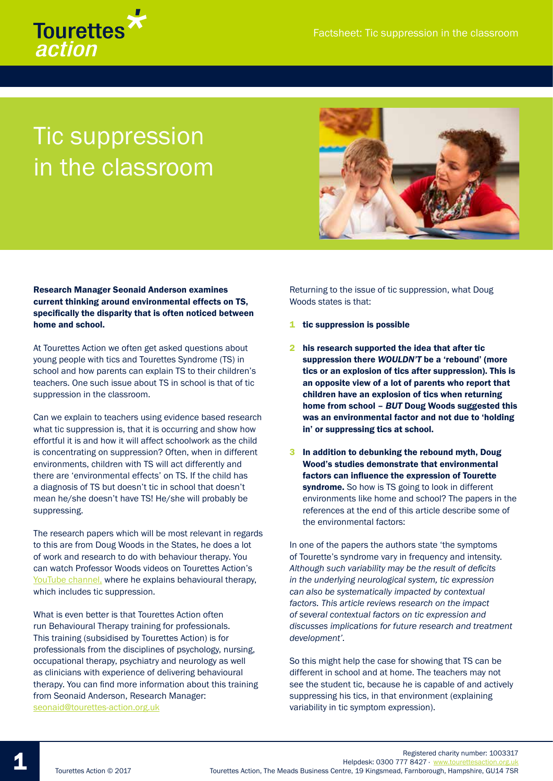

## Tic suppression in the classroom



## Research Manager Seonaid Anderson examines current thinking around environmental effects on TS, specifically the disparity that is often noticed between home and school.

At Tourettes Action we often get asked questions about young people with tics and Tourettes Syndrome (TS) in school and how parents can explain TS to their children's teachers. One such issue about TS in school is that of tic suppression in the classroom.

Can we explain to teachers using evidence based research what tic suppression is, that it is occurring and show how effortful it is and how it will affect schoolwork as the child is concentrating on suppression? Often, when in different environments, children with TS will act differently and there are 'environmental effects' on TS. If the child has a diagnosis of TS but doesn't tic in school that doesn't mean he/she doesn't have TS! He/she will probably be suppressing.

The research papers which will be most relevant in regards to this are from Doug Woods in the States, he does a lot of work and research to do with behaviour therapy. You can watch Professor Woods videos on Tourettes Action's YouTube channel, where he explains behavioural therapy, which includes tic suppression.

What is even better is that Tourettes Action often run Behavioural Therapy training for professionals. This training (subsidised by Tourettes Action) is for professionals from the disciplines of psychology, nursing, occupational therapy, psychiatry and neurology as well as clinicians with experience of delivering behavioural therapy. You can find more information about this training from Seonaid Anderson, Research Manager: seonaid@tourettes-action.org.uk

Returning to the issue of tic suppression, what Doug Woods states is that:

- 1 tic suppression is possible
- 2 his research supported the idea that after tic suppression there *WOULDN'T* be a 'rebound' (more tics or an explosion of tics after suppression). This is an opposite view of a lot of parents who report that children have an explosion of tics when returning home from school – *BUT* Doug Woods suggested this was an environmental factor and not due to 'holding in' or suppressing tics at school.
- 3 In addition to debunking the rebound myth, Doug Wood's studies demonstrate that environmental factors can influence the expression of Tourette syndrome. So how is TS going to look in different environments like home and school? The papers in the references at the end of this article describe some of the environmental factors:

In one of the papers the authors state 'the symptoms of Tourette's syndrome vary in frequency and intensity. *Although such variability may be the result of deficits in the underlying neurological system, tic expression can also be systematically impacted by contextual factors. This article reviews research on the impact of several contextual factors on tic expression and discusses implications for future research and treatment development'.*

So this might help the case for showing that TS can be different in school and at home. The teachers may not see the student tic, because he is capable of and actively suppressing his tics, in that environment (explaining variability in tic symptom expression).